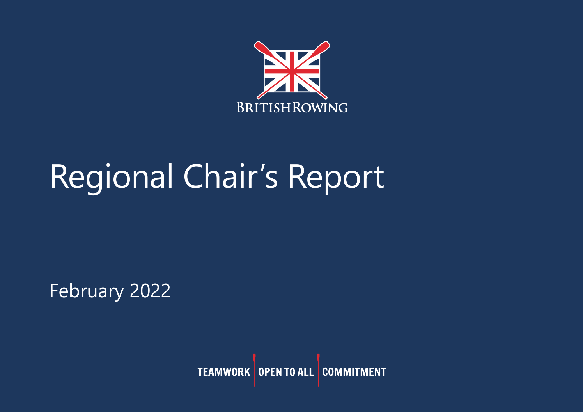

# Regional Chair's Report

February 2022

**TEAMWORK** OPEN TO ALL COMMITMENT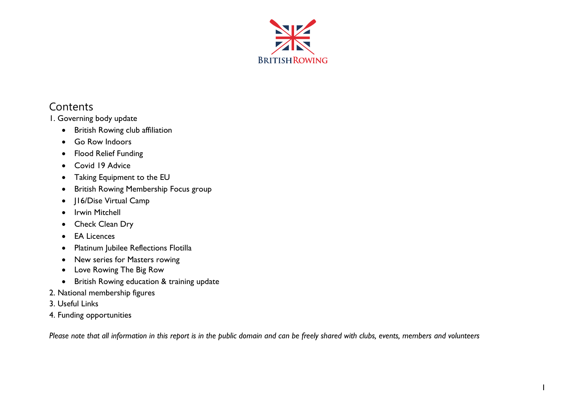

# **Contents**

1. Governing body update

- British Rowing club affiliation
- Go Row Indoors
- Flood Relief Funding
- Covid 19 Advice
- Taking Equipment to the EU
- British Rowing Membership Focus group
- J16/Dise Virtual Camp
- Irwin Mitchell
- Check Clean Dry
- EA Licences
- Platinum Jubilee Reflections Flotilla
- New series for Masters rowing
- Love Rowing The Big Row
- British Rowing education & training update
- 2. National membership figures
- 3. Useful Links
- 4. Funding opportunities

*Please note that all information in this report is in the public domain and can be freely shared with clubs, events, members and volunteers*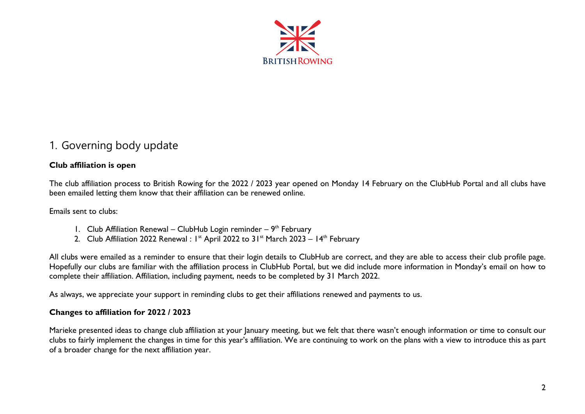

# 1. Governing body update

### **Club affiliation is open**

The club affiliation process to British Rowing for the 2022 / 2023 year opened on Monday 14 February on the ClubHub Portal and all clubs have been emailed letting them know that their affiliation can be renewed online.

Emails sent to clubs:

- 1. Club Affiliation Renewal ClubHub Login reminder  $9<sup>th</sup>$  February
- 2. Club Affiliation 2022 Renewal :  $I^{\text{st}}$  April 2022 to 31st March 2023 14<sup>th</sup> February

All clubs were emailed as a reminder to ensure that their login details to ClubHub are correct, and they are able to access their club profile page. Hopefully our clubs are familiar with the affiliation process in ClubHub Portal, but we did include more information in Monday's email on how to complete their affiliation. Affiliation, including payment, needs to be completed by 31 March 2022.

As always, we appreciate your support in reminding clubs to get their affiliations renewed and payments to us.

#### **Changes to affiliation for 2022 / 2023**

Marieke presented ideas to change club affiliation at your January meeting, but we felt that there wasn't enough information or time to consult our clubs to fairly implement the changes in time for this year's affiliation. We are continuing to work on the plans with a view to introduce this as part of a broader change for the next affiliation year.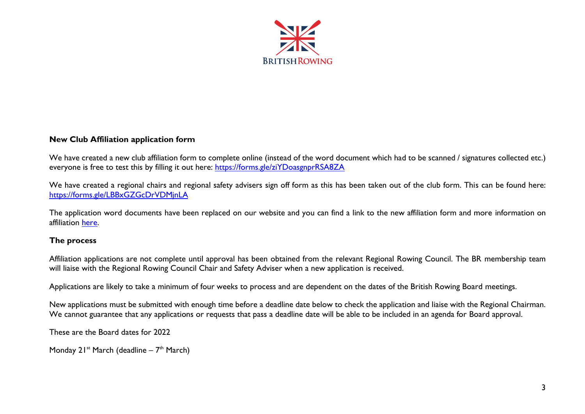

#### **New Club Affiliation application form**

We have created a new club affiliation form to complete online (instead of the word document which had to be scanned / signatures collected etc.) everyone is free to test this by filling it out here:<https://forms.gle/ziYDoasgnprRSA8ZA>

We have created a regional chairs and regional safety advisers sign off form as this has been taken out of the club form. This can be found here: <https://forms.gle/LBBxGZGcDrVDMjnLA>

The application word documents have been replaced on our website and you can find a link to the new affiliation form and more information on affiliation [here.](https://www.britishrowing.org/knowledge/club-support/club-governance/affiliation/)

#### **The process**

Affiliation applications are not complete until approval has been obtained from the relevant Regional Rowing Council. The BR membership team will liaise with the Regional Rowing Council Chair and Safety Adviser when a new application is received.

Applications are likely to take a minimum of four weeks to process and are dependent on the dates of the British Rowing Board meetings.

New applications must be submitted with enough time before a deadline date below to check the application and liaise with the Regional Chairman. We cannot guarantee that any applications or requests that pass a deadline date will be able to be included in an agenda for Board approval.

These are the Board dates for 2022

Monday 21<sup>st</sup> March (deadline – 7<sup>th</sup> March)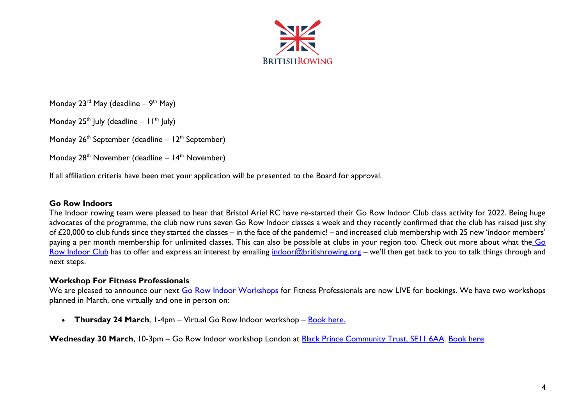

Monday 23<sup>rd</sup> May (deadline – 9<sup>th</sup> May)

Monday  $25<sup>th</sup>$  July (deadline –  $11<sup>th</sup>$  July)

Monday  $26<sup>th</sup>$  September (deadline –  $12<sup>th</sup>$  September)

Monday  $28<sup>th</sup>$  November (deadline –  $14<sup>th</sup>$  November)

If all affiliation criteria have been met your application will be presented to the Board for approval.

#### **Go Row Indoors**

The Indoor rowing team were pleased to hear that Bristol Ariel RC have re-started their Go Row Indoor Club class activity for 2022. Being huge advocates of the programme, the club now runs seven Go Row Indoor classes a week and they recently confirmed that the club has raised just shy of £20,000 to club funds since they started the classes – in the face of the pandemic! – and increased club membership with 25 new 'indoor members' paying a per month membership for unlimited classes. This can also be possible at clubs in your region too. Check out more about what the Go [Row Indoor Club](https://www.britishrowing.org/indoor-rowing/training/clubs/) has to offer and express an interest by emailing [indoor@britishrowing.org](mailto:indoor@britishrowing.org) – we'll then get back to you to talk things through and next steps.

#### **Workshop For Fitness Professionals**

We are pleased to announce our next [Go Row Indoor Workshops f](https://www.britishrowing.org/indoor-rowing/training/become-a-go-row-indoor-instructor/)or Fitness Professionals are now LIVE for bookings. We have two workshops planned in March, one virtually and one in person on:

• **Thursday 24 March**, 1-4pm – Virtual Go Row Indoor workshop – [Book here.](https://britishrowing.justgo.com/workbench/public/events?ref=8E5BDFB3EBE5B9EF9E4540537AC027E84303D5F9)

Wednesday 30 March, 10-3pm – Go Row Indoor workshop London at **Black Prince Community Trust, SE11 6AA**. [Book here.](https://britishrowing.justgo.com/workbench/public/events?ref=C87AF8C4C00134911D1EC190A8E8B16D2DEA4A20)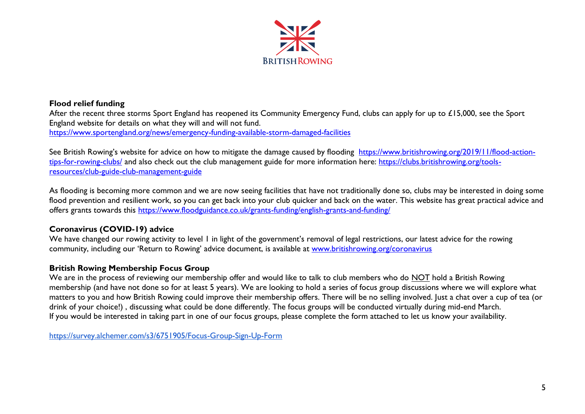

#### **Flood relief funding**

After the recent three storms Sport England has reopened its Community Emergency Fund, clubs can apply for up to £15,000, see the Sport England website for details on what they will and will not fund. <https://www.sportengland.org/news/emergency-funding-available-storm-damaged-facilities>

See British Rowing's website for advice on how to mitigate the damage caused by flooding [https://www.britishrowing.org/2019/11/flood-action](https://www.britishrowing.org/2019/11/flood-action-tips-for-rowing-clubs/)[tips-for-rowing-clubs/](https://www.britishrowing.org/2019/11/flood-action-tips-for-rowing-clubs/) and also check out the club management guide for more information here: [https://clubs.britishrowing.org/tools](https://clubs.britishrowing.org/tools-resources/club-guide-club-management-guide)[resources/club-guide-club-management-guide](https://clubs.britishrowing.org/tools-resources/club-guide-club-management-guide)

As flooding is becoming more common and we are now seeing facilities that have not traditionally done so, clubs may be interested in doing some flood prevention and resilient work, so you can get back into your club quicker and back on the water. This website has great practical advice and offers grants towards this<https://www.floodguidance.co.uk/grants-funding/english-grants-and-funding/>

#### **Coronavirus (COVID-19) advice**

We have changed our rowing activity to level 1 in light of the government's removal of legal restrictions, our latest advice for the rowing community, including our 'Return to Rowing' advice document, is available at [www.britishrowing.org/coronavirus](http://www.britishrowing.org/coronavirus)

#### **British Rowing Membership Focus Group**

We are in the process of reviewing our membership offer and would like to talk to club members who do NOT hold a British Rowing membership (and have not done so for at least 5 years). We are looking to hold a series of focus group discussions where we will explore what matters to you and how British Rowing could improve their membership offers. There will be no selling involved. Just a chat over a cup of tea (or drink of your choice!) , discussing what could be done differently. The focus groups will be conducted virtually during mid-end March. If you would be interested in taking part in one of our focus groups, please complete the form attached to let us know your availability.

<https://survey.alchemer.com/s3/6751905/Focus-Group-Sign-Up-Form>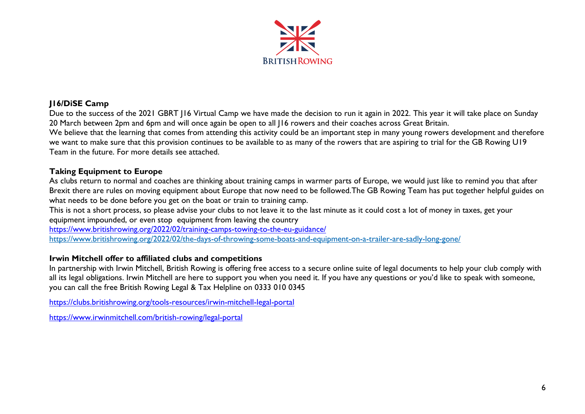

## **J16/DiSE Camp**

Due to the success of the 2021 GBRT J16 Virtual Camp we have made the decision to run it again in 2022. This year it will take place on Sunday 20 March between 2pm and 6pm and will once again be open to all J16 rowers and their coaches across Great Britain. We believe that the learning that comes from attending this activity could be an important step in many young rowers development and therefore

we want to make sure that this provision continues to be available to as many of the rowers that are aspiring to trial for the GB Rowing U19 Team in the future. For more details see attached.

#### **Taking Equipment to Europe**

As clubs return to normal and coaches are thinking about training camps in warmer parts of Europe, we would just like to remind you that after Brexit there are rules on moving equipment about Europe that now need to be followed.The GB Rowing Team has put together helpful guides on what needs to be done before you get on the boat or train to training camp.

This is not a short process, so please advise your clubs to not leave it to the last minute as it could cost a lot of money in taxes, get your equipment impounded, or even stop equipment from leaving the country

<https://www.britishrowing.org/2022/02/training-camps-towing-to-the-eu-guidance/>

<https://www.britishrowing.org/2022/02/the-days-of-throwing-some-boats-and-equipment-on-a-trailer-are-sadly-long-gone/>

#### **Irwin Mitchell offer to affiliated clubs and competitions**

In partnership with Irwin Mitchell, British Rowing is offering free access to a secure online suite of legal documents to help your club comply with all its legal obligations. Irwin Mitchell are here to support you when you need it. If you have any questions or you'd like to speak with someone, you can call the free British Rowing Legal & Tax Helpline on 0333 010 0345

<https://clubs.britishrowing.org/tools-resources/irwin-mitchell-legal-portal>

<https://www.irwinmitchell.com/british-rowing/legal-portal>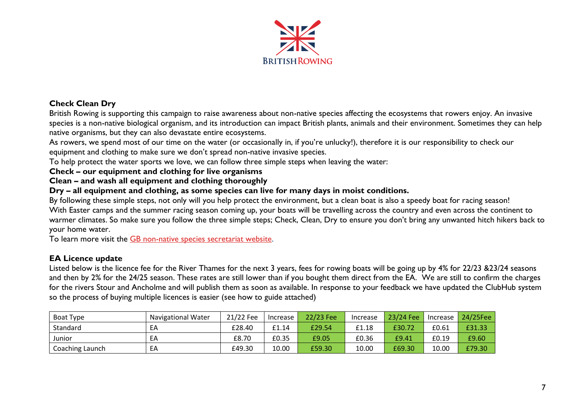

#### **Check Clean Dry**

British Rowing is supporting this campaign to raise awareness about non-native species affecting the ecosystems that rowers enjoy. An invasive species is a non-native biological organism, and its introduction can impact British plants, animals and their environment. Sometimes they can help native organisms, but they can also devastate entire ecosystems.

As rowers, we spend most of our time on the water (or occasionally in, if you're unlucky!), therefore it is our responsibility to check our equipment and clothing to make sure we don't spread non-native invasive species.

To help protect the water sports we love, we can follow three simple steps when leaving the water:

**Check – our equipment and clothing for live organisms**

**Clean – and wash all equipment and clothing thoroughly**

**Dry – all equipment and clothing, as some species can live for many days in moist conditions.**

By following these simple steps, not only will you help protect the environment, but a clean boat is also a speedy boat for racing season! With Easter camps and the summer racing season coming up, your boats will be travelling across the country and even across the continent to warmer climates. So make sure you follow the three simple steps; Check, Clean, Dry to ensure you don't bring any unwanted hitch hikers back to your home water.

To learn more visit the [GB non-native species secretariat website.](http://www.nonnativespecies.org/checkcleandry)

#### **EA Licence update**

Listed below is the licence fee for the River Thames for the next 3 years, fees for rowing boats will be going up by 4% for 22/23 &23/24 seasons and then by 2% for the 24/25 season. These rates are still lower than if you bought them direct from the EA. We are still to confirm the charges for the rivers Stour and Ancholme and will publish them as soon as available. In response to your feedback we have updated the ClubHub system so the process of buying multiple licences is easier (see how to guide attached)

| Boat Type       | <b>Navigational Water</b> | 21/22 Fee | Increase | 22/23 Fee | Increase | 23/24 Fee | Increase | 24/25Fee |
|-----------------|---------------------------|-----------|----------|-----------|----------|-----------|----------|----------|
| Standard        | EА                        | £28.40    | £1.14    | £29.54    | £1.18    | £30.72    | £0.61    | £31.33   |
| Junior          | ΕA                        | £8.70     | £0.35    | £9.05     | £0.36    | £9.41     | £0.19    | £9.60    |
| Coaching Launch | EA                        | £49.30    | 10.00    | £59.30    | 10.00    | £69.30    | 10.00    | £79.30   |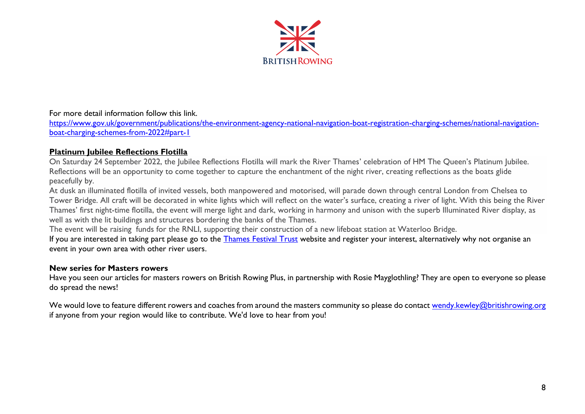

#### For more detail information follow this link.

[https://www.gov.uk/government/publications/the-environment-agency-national-navigation-boat-registration-charging-schemes/national-navigation](https://www.gov.uk/government/publications/the-environment-agency-national-navigation-boat-registration-charging-schemes/national-navigation-boat-charging-schemes-from-2022#part-1)[boat-charging-schemes-from-2022#part-1](https://www.gov.uk/government/publications/the-environment-agency-national-navigation-boat-registration-charging-schemes/national-navigation-boat-charging-schemes-from-2022#part-1)

#### **Platinum Jubilee Reflections Flotilla**

On Saturday 24 September 2022, the Jubilee Reflections Flotilla will mark the River Thames' celebration of HM The Queen's Platinum Jubilee. Reflections will be an opportunity to come together to capture the enchantment of the night river, creating reflections as the boats glide peacefully by.

At dusk an illuminated flotilla of invited vessels, both manpowered and motorised, will parade down through central London from Chelsea to Tower Bridge. All craft will be decorated in white lights which will reflect on the water's surface, creating a river of light. With this being the River Thames' first night-time flotilla, the event will merge light and dark, working in harmony and unison with the superb Illuminated River display, as well as with the lit buildings and structures bordering the banks of the Thames.

The event will be raising funds for the RNLI, supporting their construction of a new lifeboat station at Waterloo Bridge.

If you are interested in taking part please go to the [Thames Festival Trust](https://thamesfestivaltrust.org/reflections-2022/) website and register your interest, alternatively why not organise an event in your own area with other river users.

#### **New series for Masters rowers**

Have you seen our articles for masters rowers on British Rowing Plus, in partnership with Rosie Mayglothling? They are open to everyone so please do spread the news!

We would love to feature different rowers and coaches from around the masters community so please do contact [wendy.kewley@britishrowing.org](mailto:wendy.kewley@britishrowing.org) if anyone from your region would like to contribute. We'd love to hear from you!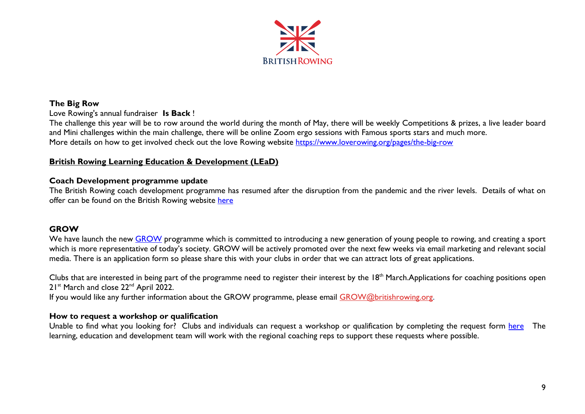

#### **The Big Row**

Love Rowing's annual fundraiser **Is Back** !

The challenge this year will be to row around the world during the month of May, there will be weekly Competitions & prizes, a live leader board and Mini challenges within the main challenge, there will be online Zoom ergo sessions with Famous sports stars and much more. More details on how to get involved check out the love Rowing website<https://www.loverowing.org/pages/the-big-row>

### **British Rowing Learning Education & Development (LEaD)**

#### **Coach Development programme update**

The British Rowing coach development programme has resumed after the disruption from the pandemic and the river levels. Details of what on offer can be found on the British Rowing website [here](https://www.britishrowing.org/rowing-activity-finder/calendar/?type=courses)

#### **GROW**

We have launch the new [GROW](https://www.britishrowing.org/2022/02/grow-programme-launches-to-spread-the-joy-of-rowing/) programme which is committed to introducing a new generation of young people to rowing, and creating a sport which is more representative of today's society. GROW will be actively promoted over the next few weeks via email marketing and relevant social media. There is an application form so please share this with your clubs in order that we can attract lots of great applications.

Clubs that are interested in being part of the programme need to register their interest by the 18<sup>th</sup> March.Applications for coaching positions open 21<sup>st</sup> March and close 22<sup>nd</sup> April 2022.

If you would like any further information about the GROW programme, please email [GROW@britishrowing.org.](mailto:GROW@britishrowing.org)

#### **How to request a workshop or qualification**

Unable to find what you looking for? Clubs and individuals can request a workshop or qualification by completing the request form [here](https://www.britishrowing.org/knowledge/calendar/requesting-a-workshop/) The learning, education and development team will work with the regional coaching reps to support these requests where possible.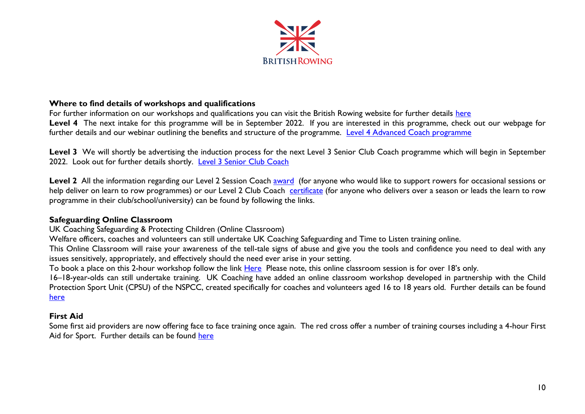

#### **Where to find details of workshops and qualifications**

For further information on our workshops and qualifications you can visit the British Rowing website for further details [here](https://www.britishrowing.org/knowledge/courses-qualifications/) Level 4 The next intake for this programme will be in September 2022. If you are interested in this programme, check out our webpage for further details and our webinar outlining the benefits and structure of the programme. [Level 4 Advanced Coach programme](https://www.britishrowing.org/knowledge/courses-qualifications/coaching/ukcc-level-4-for-the-advanced-coach/)

Level 3 We will shortly be advertising the induction process for the next Level 3 Senior Club Coach programme which will begin in September 2022. Look out for further details shortly. [Level 3 Senior Club Coach](https://www.britishrowing.org/knowledge/courses-qualifications/coaching/senior-club-coach/)

Level 2 All the information regarding our Level 2 Session Coach [award](https://www.britishrowing.org/knowledge/courses-qualifications/coaching/session-coach/) (for anyone who would like to support rowers for occasional sessions or help deliver on learn to row programmes) or our Level 2 Club Coach [certificate](https://www.britishrowing.org/knowledge/courses-qualifications/coaching/club-coach/) (for anyone who delivers over a season or leads the learn to row programme in their club/school/university) can be found by following the links.

#### **Safeguarding Online Classroom**

UK Coaching Safeguarding & Protecting Children (Online Classroom)

Welfare officers, coaches and volunteers can still undertake UK Coaching Safeguarding and Time to Listen training online.

This Online Classroom will raise your awareness of the tell-tale signs of abuse and give you the tools and confidence you need to deal with any issues sensitively, appropriately, and effectively should the need ever arise in your setting.

To book a place on this 2-hour workshop follow the link [Here](https://www.ukcoaching.org/courses/search?query=Online%20classroom&distance=25&order=relevant&bookableonly=false)Please note, this online classroom session is for over 18's only.

16–18-year-olds can still undertake training. UK Coaching have added an online classroom workshop developed in partnership with the Child Protection Sport Unit (CPSU) of the NSPCC, created specifically for coaches and volunteers aged 16 to 18 years old. Further details can be found [here](https://www.ukcoaching.org/courses/workshops/safeguarding-protecting-children-16-18-online-clas)

#### **First Aid**

Some first aid providers are now offering face to face training once again. The red cross offer a number of training courses including a 4-hour First Aid for Sport. Further details can be found [here](https://www.redcrossfirstaidtraining.co.uk/what-we-do/first-aid-for-sports/?gclsrc=aw.ds&&utm_term=first%20aid%20training&utm_campaign=First+Aid+General+%7C+Exact&utm_source=adwords&utm_medium=ppc&hsa_acc=3392434821&hsa_cam=8162067250&hsa_grp=86041544362&hsa_ad=431671853758&hsa_src=g&hsa_tgt=kwd-45140630&hsa_kw=first%20aid%20training&hsa_mt=e&hsa_net=adwords&hsa_ver=3&gclid=Cj0KCQjw-O35BRDVARIsAJU5mQXfO3B74ZiD2AiZl1siZfD8QgtTO79s3n0YYYDo-JnfjZhpIQ0qX8waAsC2EALw_wcB)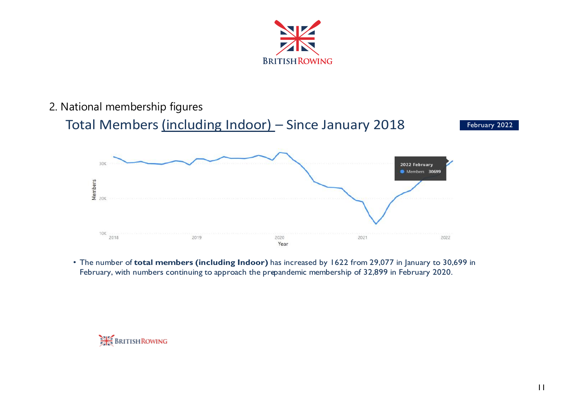

# 2. National membership figures

# Total Members (including Indoor) - Since January 2018 February 2022



• The number of total members (including Indoor) has increased by 1622 from 29,077 in January to 30,699 in February, with numbers continuing to approach the prepandemic membership of 32,899 in February 2020.

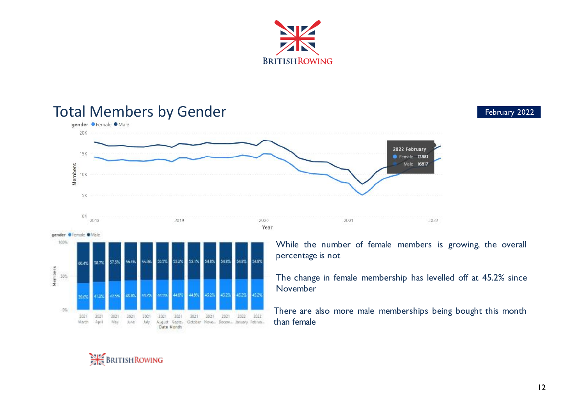

#### Total Members by Gender<br> **Expander Ofemale Onale**  $20K$ 2022 February 15K **•** Female 13881 Members<br>
20<br>  $\frac{1}{2}$ Male 16817  $5K$ OK 2018 2019 2020 2021 Year gender GTemale OMaie 100% While the number of female members is growing, the overall percentage is not SSUS 555% 552% 551% 548% 548% 548% 54.8% 57.5% 56.4% 58.7% m.ev. Nembers<br>No The change in female membership has levelled off at 45.2% since November 44.8% La noi **STAR**  $-0\%$  here are also more male memberships being bought this month 2023  $(202)$  $-2021$ 2021 2021  $2021$  $-2021$ 2021 2021 2021 1022 2022 than female $M_{\rm 20}$ March April July. August Gepte. October Nove. Decem. January Februa. lure.



2022



Date Month

12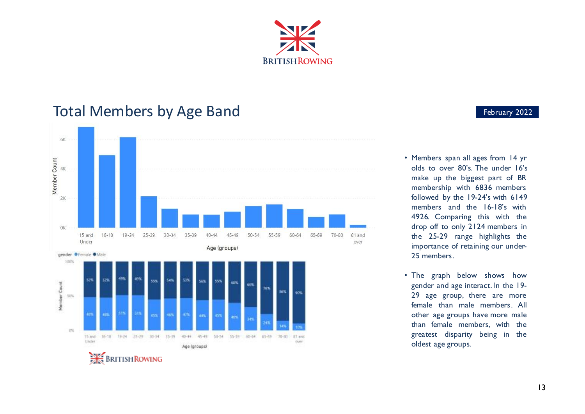

# Total Members by Age Band<br>
Expansion of the Contract of the Extreme of the Extreme of the Extreme of the Extreme of the Extreme of the Extreme of the Extreme of the Extreme of the Extreme of the Extreme of the Extreme of t



- Members span all ages from 14 yr olds to over  $80$ 's. The under  $16$ 's make up the biggest part of BR membership with 6836 members followed by the  $19-24$ 's with  $6149$ members and the 16-18's with 4926. Comparing this with the drop off to only 2124 members in the 25-29 range highlights the importance of retaining our under 25 members.
- The graph below shows how gender and age interact. In the 19-29 age group, there are more female than male members. All other age groups have more male than female members, with the greatest disparity being in the oldest age groups.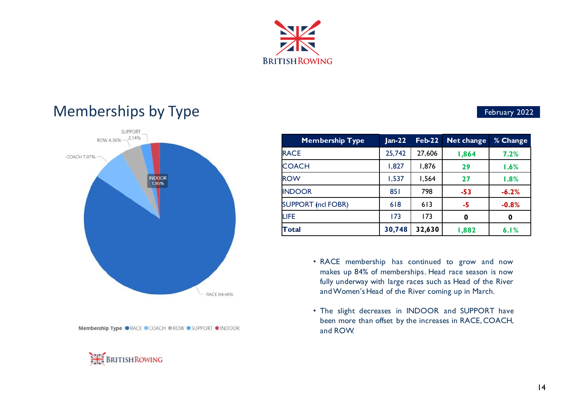

# Memberships by Type and the control of the control of the second second second second second second second second second second second second second second second second second second second second second second second sec



Membership Type ORACE OCOACH OROW OSUPPORT OINDOOR



| <b>Membership Type</b>    | $Jan-22$ | $Feb-22$ | Net change | % Change |  |
|---------------------------|----------|----------|------------|----------|--|
| <b>RACE</b>               | 25,742   | 27,606   | 1,864      | 7.2%     |  |
| <b>COACH</b>              | 1,827    | 1,876    | 29         | 1.6%     |  |
| <b>ROW</b>                | 1,537    | 1,564    | 27         | 1.8%     |  |
| <b>INDOOR</b>             | 851      | 798      | $-53$      | $-6.2%$  |  |
| <b>SUPPORT (ncl FOBR)</b> | 618      | 613      | -5         | $-0.8%$  |  |
| <b>LIFE</b>               | 173      | 173      | 0          | 0        |  |
| <b>Total</b>              | 30,748   | 32,630   | 1,882      | 6.1%     |  |

- RACE membership has continued to grow and now makes up 84% of memberships. Head race season is now fully underway with large races such as Head of the River and Women's Head of the River coming up in March.
- The slight decreases in INDOOR and SUPPORT have been more than offset by the increases in RACE, COACH, and ROW.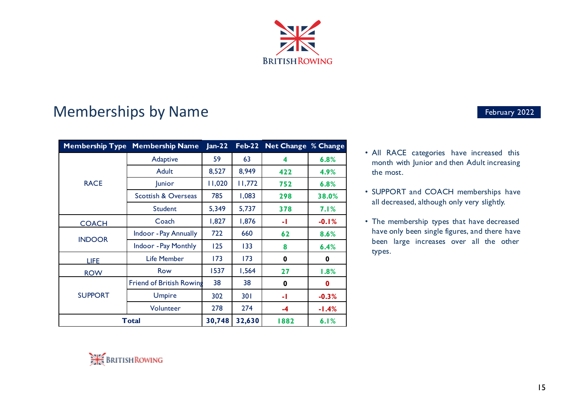

# Memberships by Name **Example 2022** February 2022

| <b>Membership Type</b> | <b>Membership Name</b>         | $Jan-22$ | $Feb-22$ | <b>Net Change % Change</b> |         |
|------------------------|--------------------------------|----------|----------|----------------------------|---------|
| <b>RACE</b>            | Adaptive                       | 59       | 63       | 4                          | 6.8%    |
|                        | Adult                          | 8,527    | 8,949    | 422                        | 4.9%    |
|                        | <b>Junior</b>                  | 11,020   | 11,772   | 752                        | 6.8%    |
|                        | <b>Scottish &amp; Overseas</b> | 785      | 1,083    | 298                        | 38.0%   |
|                        | Student                        | 5,349    | 5,737    | 378                        | 7.1%    |
| <b>COACH</b>           | Coach                          | 1,827    | 1,876    | -1                         | $-0.1%$ |
|                        | Indoor - Pay Annually          | 722      | 660      | 62                         | 8.6%    |
| <b>INDOOR</b>          | Indoor - Pay Monthly           | 125      | 133      | 8                          | 6.4%    |
| LIFE                   | Life Member                    | 173      | 173      | 0                          | 0       |
| <b>ROW</b>             | Row                            | 1537     | 1,564    | 27                         | 1.8%    |
|                        | Friend of British Rowing       | 38       | 38       | 0                          | 0       |
| <b>SUPPORT</b>         | <b>Umpire</b>                  | 302      | 301      | -1                         | $-0.3%$ |
|                        | Volunteer                      | 278      | 274      | $-4$                       | $-1.4%$ |
|                        | Total                          |          | 32,630   | 1882                       | 6.1%    |

- All RACE categories have increased this month with Junior and then Adult increasing the most.
- SUPPORT and COACH memberships have all decreased, although only very slightly.
- The membership types that have decreased have only been single figures, and there have been large increases over all the other types.

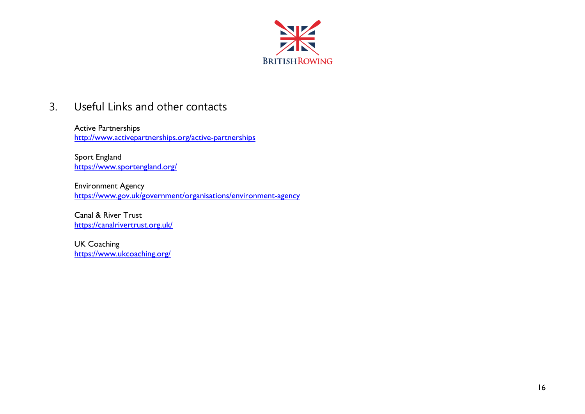

# 3. Useful Links and other contacts

Active Partnerships <http://www.activepartnerships.org/active-partnerships>

 Sport England <https://www.sportengland.org/>

Environment Agency <https://www.gov.uk/government/organisations/environment-agency>

Canal & River Trust <https://canalrivertrust.org.uk/>

UK Coaching <https://www.ukcoaching.org/>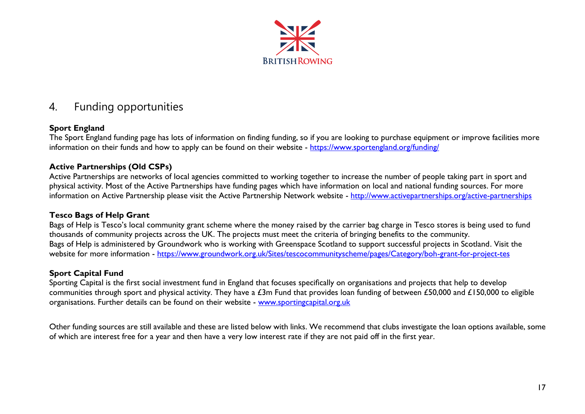

# 4. Funding opportunities

## **Sport England**

The Sport England funding page has lots of information on finding funding, so if you are looking to purchase equipment or improve facilities more information on their funds and how to apply can be found on their website - https://www.sportengland.org/funding/

### **Active Partnerships (Old CSPs)**

Active Partnerships are networks of local agencies committed to working together to increase the number of people taking part in sport and physical activity. Most of the Active Partnerships have funding pages which have information on local and national funding sources. For more information on Active Partnership please visit the Active Partnership Network website - <http://www.activepartnerships.org/active-partnerships>

#### **Tesco Bags of Help Grant**

Bags of Help is Tesco's local community grant scheme where the money raised by the carrier bag charge in Tesco stores is being used to fund thousands of community projects across the UK. The projects must meet the criteria of bringing benefits to the community. Bags of Help is administered by Groundwork who is working with Greenspace Scotland to support successful projects in Scotland. Visit the website for more information - https://www.groundwork.org.uk/Sites/tescocommunityscheme/pages/Category/boh-grant-for-project-tes

## **Sport Capital Fund**

Sporting Capital is the first social investment fund in England that focuses specifically on organisations and projects that help to develop communities through sport and physical activity. They have a £3m Fund that provides loan funding of between £50,000 and £150,000 to eligible organisations. Further details can be found on their website - [www.sportingcapital.org.uk](http://www.sportingcapital.org.uk/)

Other funding sources are still available and these are listed below with links. We recommend that clubs investigate the loan options available, some of which are interest free for a year and then have a very low interest rate if they are not paid off in the first year.